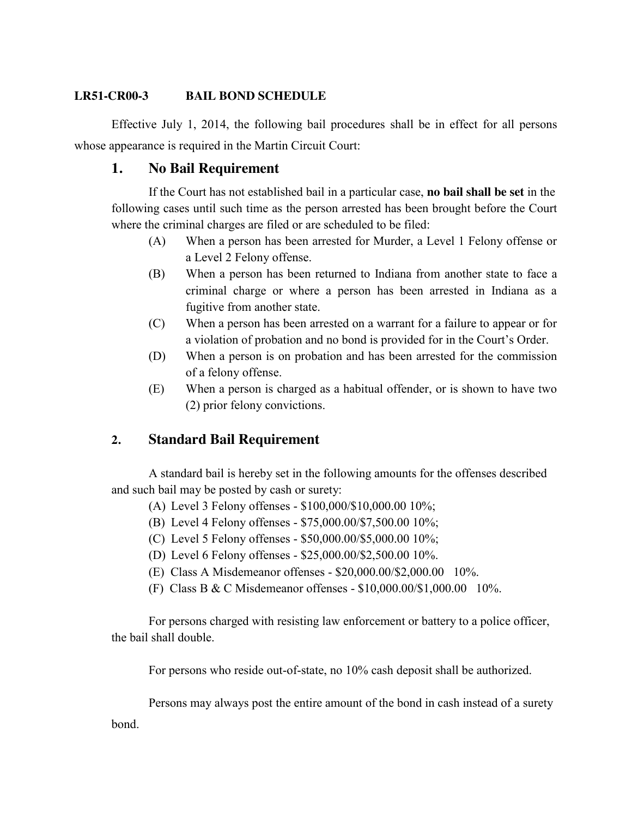# **LR51-CR00-3 BAIL BOND SCHEDULE**

Effective July 1, 2014, the following bail procedures shall be in effect for all persons whose appearance is required in the Martin Circuit Court:

# **1. No Bail Requirement**

If the Court has not established bail in a particular case, **no bail shall be set** in the following cases until such time as the person arrested has been brought before the Court where the criminal charges are filed or are scheduled to be filed:

- (A) When a person has been arrested for Murder, a Level 1 Felony offense or a Level 2 Felony offense.
- (B) When a person has been returned to Indiana from another state to face a criminal charge or where a person has been arrested in Indiana as a fugitive from another state.
- (C) When a person has been arrested on a warrant for a failure to appear or for a violation of probation and no bond is provided for in the Court's Order.
- (D) When a person is on probation and has been arrested for the commission of a felony offense.
- (E) When a person is charged as a habitual offender, or is shown to have two (2) prior felony convictions.

# **2. Standard Bail Requirement**

A standard bail is hereby set in the following amounts for the offenses described and such bail may be posted by cash or surety:

- (A) Level 3 Felony offenses \$100,000/\$10,000.00 10%;
- (B) Level 4 Felony offenses \$75,000.00/\$7,500.00 10%;
- (C) Level 5 Felony offenses \$50,000.00/\$5,000.00 10%;
- (D) Level 6 Felony offenses \$25,000.00/\$2,500.00 10%.
- (E) Class A Misdemeanor offenses \$20,000.00/\$2,000.00 10%.
- (F) Class B & C Misdemeanor offenses \$10,000.00/\$1,000.00 10%.

For persons charged with resisting law enforcement or battery to a police officer, the bail shall double.

For persons who reside out-of-state, no 10% cash deposit shall be authorized.

Persons may always post the entire amount of the bond in cash instead of a surety

bond.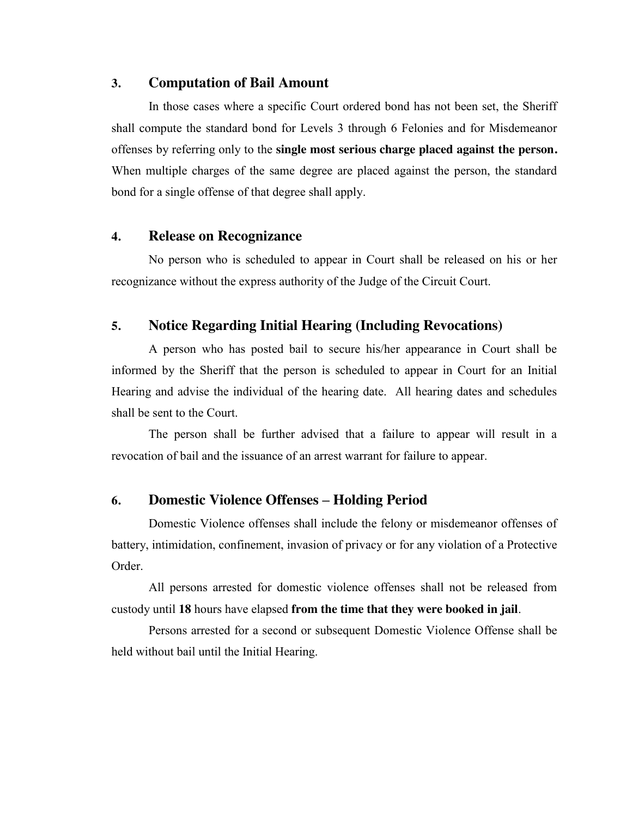### **3. Computation of Bail Amount**

In those cases where a specific Court ordered bond has not been set, the Sheriff shall compute the standard bond for Levels 3 through 6 Felonies and for Misdemeanor offenses by referring only to the **single most serious charge placed against the person.** When multiple charges of the same degree are placed against the person, the standard bond for a single offense of that degree shall apply.

### **4. Release on Recognizance**

No person who is scheduled to appear in Court shall be released on his or her recognizance without the express authority of the Judge of the Circuit Court.

# **5. Notice Regarding Initial Hearing (Including Revocations)**

A person who has posted bail to secure his/her appearance in Court shall be informed by the Sheriff that the person is scheduled to appear in Court for an Initial Hearing and advise the individual of the hearing date. All hearing dates and schedules shall be sent to the Court.

The person shall be further advised that a failure to appear will result in a revocation of bail and the issuance of an arrest warrant for failure to appear.

## **6. Domestic Violence Offenses – Holding Period**

Domestic Violence offenses shall include the felony or misdemeanor offenses of battery, intimidation, confinement, invasion of privacy or for any violation of a Protective Order.

All persons arrested for domestic violence offenses shall not be released from custody until **18** hours have elapsed **from the time that they were booked in jail**.

Persons arrested for a second or subsequent Domestic Violence Offense shall be held without bail until the Initial Hearing.